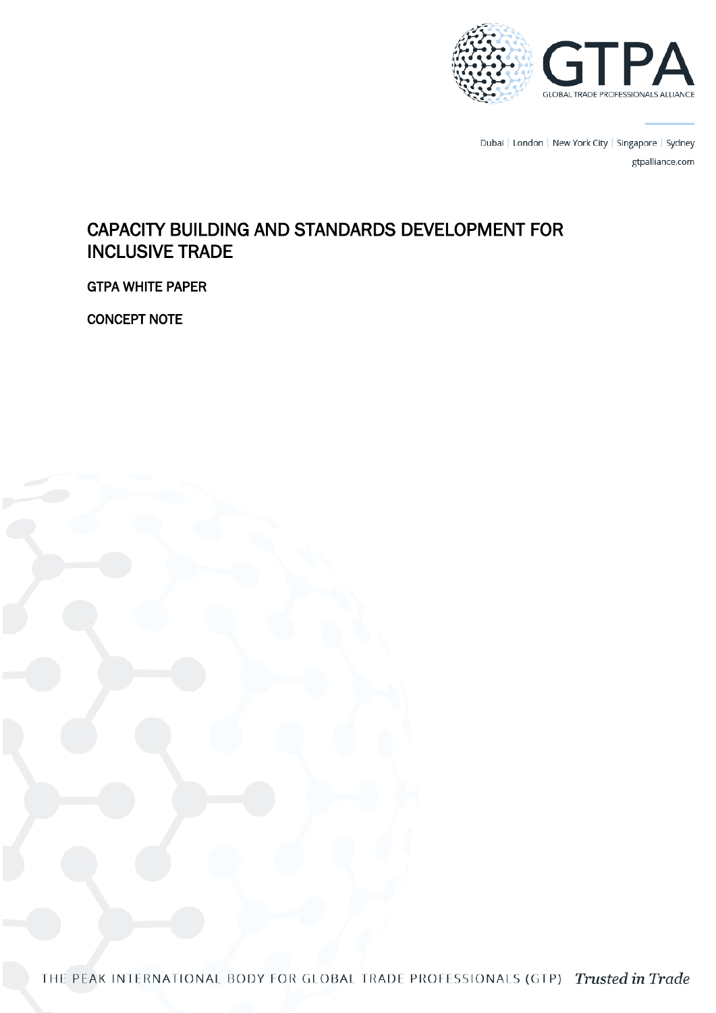

Dubai | London | New York City | Singapore | Sydney gtpalliance.com

# CAPACITY BUILDING AND STANDARDS DEVELOPMENT FOR INCLUSIVE TRADE

GTPA WHITE PAPER

CONCEPT NOTE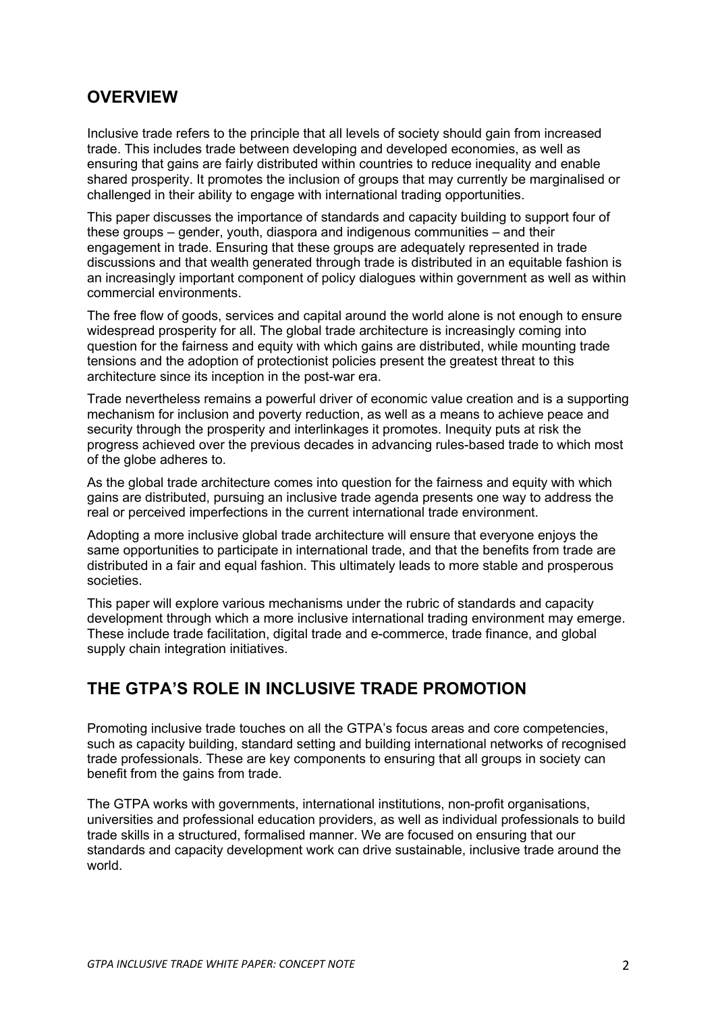#### **OVERVIEW**

Inclusive trade refers to the principle that all levels of society should gain from increased trade. This includes trade between developing and developed economies, as well as ensuring that gains are fairly distributed within countries to reduce inequality and enable shared prosperity. It promotes the inclusion of groups that may currently be marginalised or challenged in their ability to engage with international trading opportunities.

This paper discusses the importance of standards and capacity building to support four of these groups – gender, youth, diaspora and indigenous communities – and their engagement in trade. Ensuring that these groups are adequately represented in trade discussions and that wealth generated through trade is distributed in an equitable fashion is an increasingly important component of policy dialogues within government as well as within commercial environments.

The free flow of goods, services and capital around the world alone is not enough to ensure widespread prosperity for all. The global trade architecture is increasingly coming into question for the fairness and equity with which gains are distributed, while mounting trade tensions and the adoption of protectionist policies present the greatest threat to this architecture since its inception in the post-war era.

Trade nevertheless remains a powerful driver of economic value creation and is a supporting mechanism for inclusion and poverty reduction, as well as a means to achieve peace and security through the prosperity and interlinkages it promotes. Inequity puts at risk the progress achieved over the previous decades in advancing rules-based trade to which most of the globe adheres to.

As the global trade architecture comes into question for the fairness and equity with which gains are distributed, pursuing an inclusive trade agenda presents one way to address the real or perceived imperfections in the current international trade environment.

Adopting a more inclusive global trade architecture will ensure that everyone enjoys the same opportunities to participate in international trade, and that the benefits from trade are distributed in a fair and equal fashion. This ultimately leads to more stable and prosperous societies.

This paper will explore various mechanisms under the rubric of standards and capacity development through which a more inclusive international trading environment may emerge. These include trade facilitation, digital trade and e-commerce, trade finance, and global supply chain integration initiatives.

## **THE GTPA'S ROLE IN INCLUSIVE TRADE PROMOTION**

Promoting inclusive trade touches on all the GTPA's focus areas and core competencies, such as capacity building, standard setting and building international networks of recognised trade professionals. These are key components to ensuring that all groups in society can benefit from the gains from trade.

The GTPA works with governments, international institutions, non-profit organisations, universities and professional education providers, as well as individual professionals to build trade skills in a structured, formalised manner. We are focused on ensuring that our standards and capacity development work can drive sustainable, inclusive trade around the world.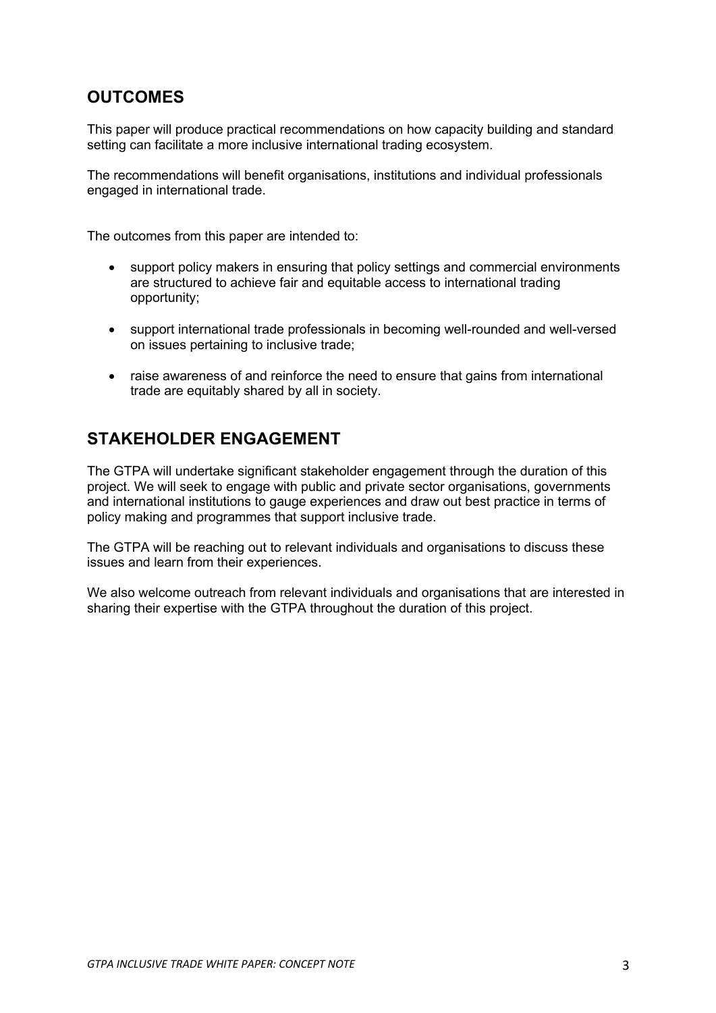## **OUTCOMES**

This paper will produce practical recommendations on how capacity building and standard setting can facilitate a more inclusive international trading ecosystem.

The recommendations will benefit organisations, institutions and individual professionals engaged in international trade.

The outcomes from this paper are intended to:

- support policy makers in ensuring that policy settings and commercial environments are structured to achieve fair and equitable access to international trading opportunity;
- support international trade professionals in becoming well-rounded and well-versed on issues pertaining to inclusive trade;
- raise awareness of and reinforce the need to ensure that gains from international trade are equitably shared by all in society.

#### **STAKEHOLDER ENGAGEMENT**

The GTPA will undertake significant stakeholder engagement through the duration of this project. We will seek to engage with public and private sector organisations, governments and international institutions to gauge experiences and draw out best practice in terms of policy making and programmes that support inclusive trade.

The GTPA will be reaching out to relevant individuals and organisations to discuss these issues and learn from their experiences.

We also welcome outreach from relevant individuals and organisations that are interested in sharing their expertise with the GTPA throughout the duration of this project.